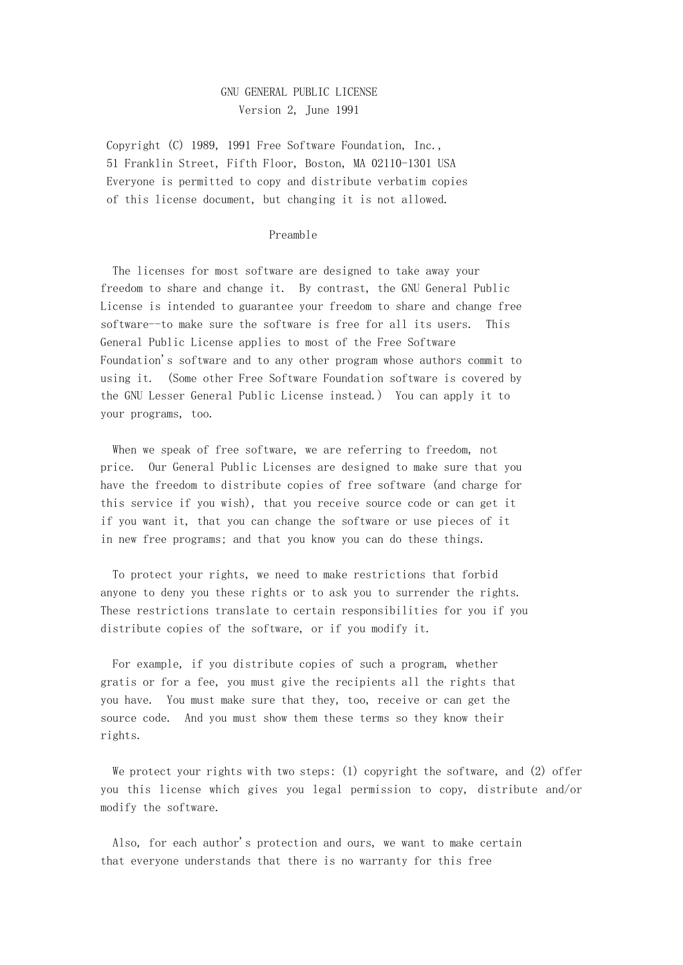## GNU GENERAL PUBLIC LICENSE Version 2, June 1991

Copyright (C) 1989, 1991 Free Software Foundation, Inc., 51 Franklin Street, Fifth Floor, Boston, MA 02110-1301 USA Everyone is permitted to copy and distribute verbatim copies of this license document, but changing it is not allowed.

### Preamble

 The licenses for most software are designed to take away your freedom to share and change it. By contrast, the GNU General Public License is intended to guarantee your freedom to share and change free software--to make sure the software is free for all its users. This General Public License applies to most of the Free Software Foundation's software and to any other program whose authors commit to using it. (Some other Free Software Foundation software is covered by the GNU Lesser General Public License instead.) You can apply it to your programs, too.

 When we speak of free software, we are referring to freedom, not price. Our General Public Licenses are designed to make sure that you have the freedom to distribute copies of free software (and charge for this service if you wish), that you receive source code or can get it if you want it, that you can change the software or use pieces of it in new free programs; and that you know you can do these things.

 To protect your rights, we need to make restrictions that forbid anyone to deny you these rights or to ask you to surrender the rights. These restrictions translate to certain responsibilities for you if you distribute copies of the software, or if you modify it.

 For example, if you distribute copies of such a program, whether gratis or for a fee, you must give the recipients all the rights that you have. You must make sure that they, too, receive or can get the source code. And you must show them these terms so they know their rights.

 We protect your rights with two steps: (1) copyright the software, and (2) offer you this license which gives you legal permission to copy, distribute and/or modify the software.

 Also, for each author's protection and ours, we want to make certain that everyone understands that there is no warranty for this free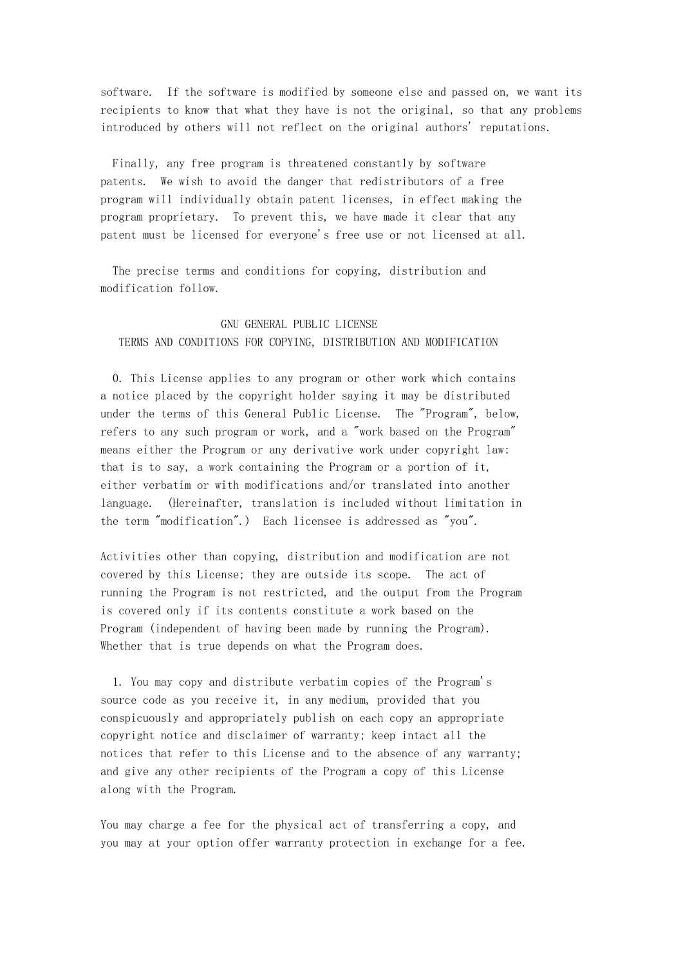software. If the software is modified by someone else and passed on, we want its recipients to know that what they have is not the original, so that any problems introduced by others will not reflect on the original authors' reputations.

 Finally, any free program is threatened constantly by software patents. We wish to avoid the danger that redistributors of a free program will individually obtain patent licenses, in effect making the program proprietary. To prevent this, we have made it clear that any patent must be licensed for everyone's free use or not licensed at all.

 The precise terms and conditions for copying, distribution and modification follow.

# GNU GENERAL PUBLIC LICENSE TERMS AND CONDITIONS FOR COPYING, DISTRIBUTION AND MODIFICATION

 0. This License applies to any program or other work which contains a notice placed by the copyright holder saying it may be distributed under the terms of this General Public License. The "Program", below, refers to any such program or work, and a "work based on the Program" means either the Program or any derivative work under copyright law: that is to say, a work containing the Program or a portion of it, either verbatim or with modifications and/or translated into another language. (Hereinafter, translation is included without limitation in the term "modification".) Each licensee is addressed as "you".

Activities other than copying, distribution and modification are not covered by this License; they are outside its scope. The act of running the Program is not restricted, and the output from the Program is covered only if its contents constitute a work based on the Program (independent of having been made by running the Program). Whether that is true depends on what the Program does.

 1. You may copy and distribute verbatim copies of the Program's source code as you receive it, in any medium, provided that you conspicuously and appropriately publish on each copy an appropriate copyright notice and disclaimer of warranty; keep intact all the notices that refer to this License and to the absence of any warranty; and give any other recipients of the Program a copy of this License along with the Program.

You may charge a fee for the physical act of transferring a copy, and you may at your option offer warranty protection in exchange for a fee.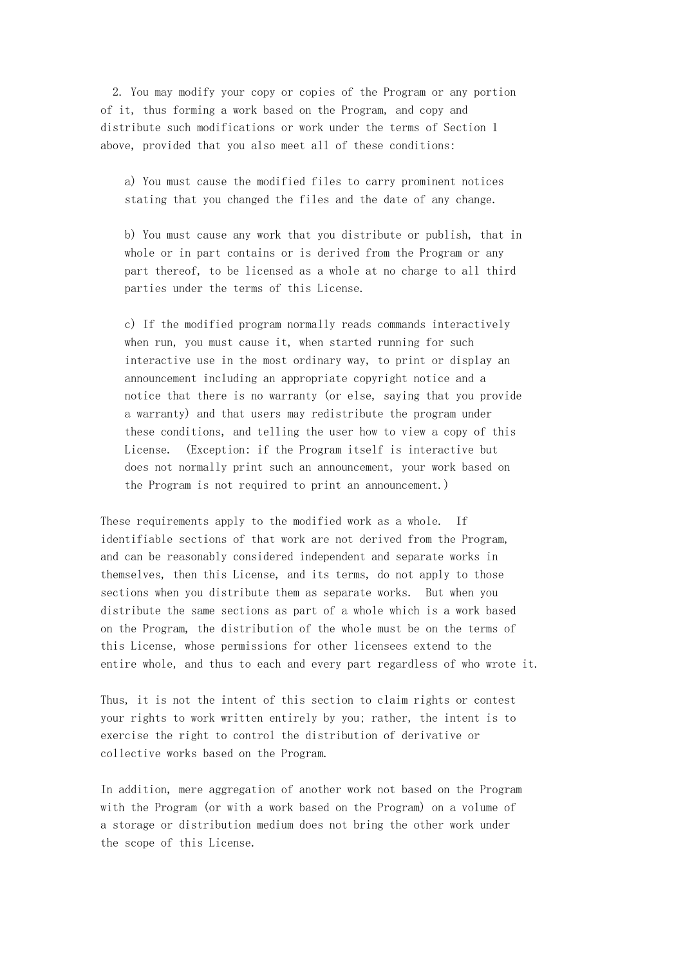2. You may modify your copy or copies of the Program or any portion of it, thus forming a work based on the Program, and copy and distribute such modifications or work under the terms of Section 1 above, provided that you also meet all of these conditions:

 a) You must cause the modified files to carry prominent notices stating that you changed the files and the date of any change.

 b) You must cause any work that you distribute or publish, that in whole or in part contains or is derived from the Program or any part thereof, to be licensed as a whole at no charge to all third parties under the terms of this License.

 c) If the modified program normally reads commands interactively when run, you must cause it, when started running for such interactive use in the most ordinary way, to print or display an announcement including an appropriate copyright notice and a notice that there is no warranty (or else, saying that you provide a warranty) and that users may redistribute the program under these conditions, and telling the user how to view a copy of this License. (Exception: if the Program itself is interactive but does not normally print such an announcement, your work based on the Program is not required to print an announcement.)

These requirements apply to the modified work as a whole. If identifiable sections of that work are not derived from the Program, and can be reasonably considered independent and separate works in themselves, then this License, and its terms, do not apply to those sections when you distribute them as separate works. But when you distribute the same sections as part of a whole which is a work based on the Program, the distribution of the whole must be on the terms of this License, whose permissions for other licensees extend to the entire whole, and thus to each and every part regardless of who wrote it.

Thus, it is not the intent of this section to claim rights or contest your rights to work written entirely by you; rather, the intent is to exercise the right to control the distribution of derivative or collective works based on the Program.

In addition, mere aggregation of another work not based on the Program with the Program (or with a work based on the Program) on a volume of a storage or distribution medium does not bring the other work under the scope of this License.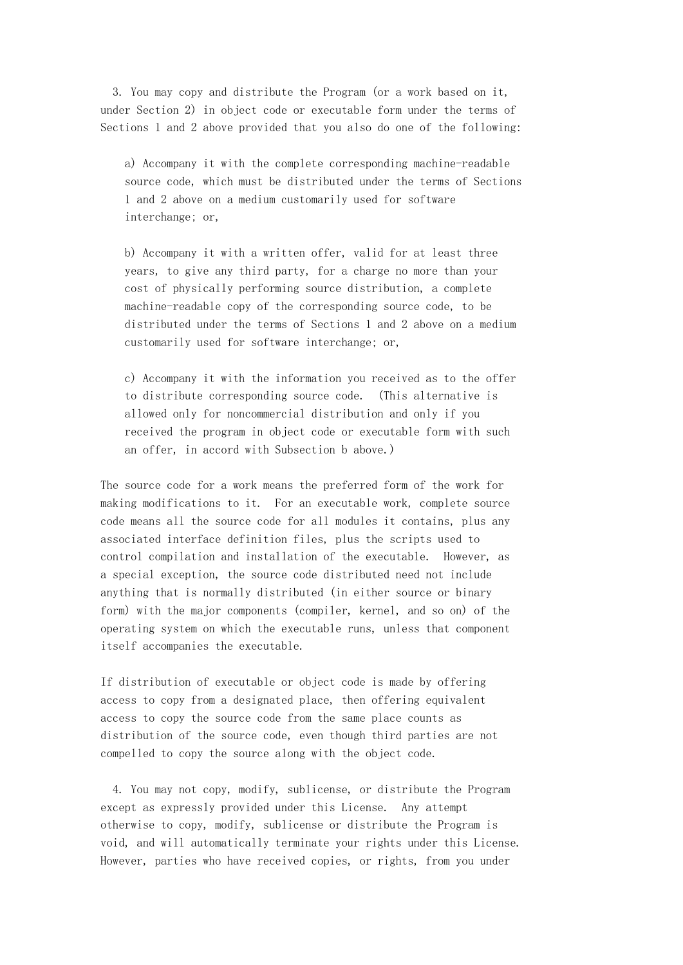3. You may copy and distribute the Program (or a work based on it, under Section 2) in object code or executable form under the terms of Sections 1 and 2 above provided that you also do one of the following:

 a) Accompany it with the complete corresponding machine-readable source code, which must be distributed under the terms of Sections 1 and 2 above on a medium customarily used for software interchange; or,

 b) Accompany it with a written offer, valid for at least three years, to give any third party, for a charge no more than your cost of physically performing source distribution, a complete machine-readable copy of the corresponding source code, to be distributed under the terms of Sections 1 and 2 above on a medium customarily used for software interchange; or,

 c) Accompany it with the information you received as to the offer to distribute corresponding source code. (This alternative is allowed only for noncommercial distribution and only if you received the program in object code or executable form with such an offer, in accord with Subsection b above.)

The source code for a work means the preferred form of the work for making modifications to it. For an executable work, complete source code means all the source code for all modules it contains, plus any associated interface definition files, plus the scripts used to control compilation and installation of the executable. However, as a special exception, the source code distributed need not include anything that is normally distributed (in either source or binary form) with the major components (compiler, kernel, and so on) of the operating system on which the executable runs, unless that component itself accompanies the executable.

If distribution of executable or object code is made by offering access to copy from a designated place, then offering equivalent access to copy the source code from the same place counts as distribution of the source code, even though third parties are not compelled to copy the source along with the object code.

 4. You may not copy, modify, sublicense, or distribute the Program except as expressly provided under this License. Any attempt otherwise to copy, modify, sublicense or distribute the Program is void, and will automatically terminate your rights under this License. However, parties who have received copies, or rights, from you under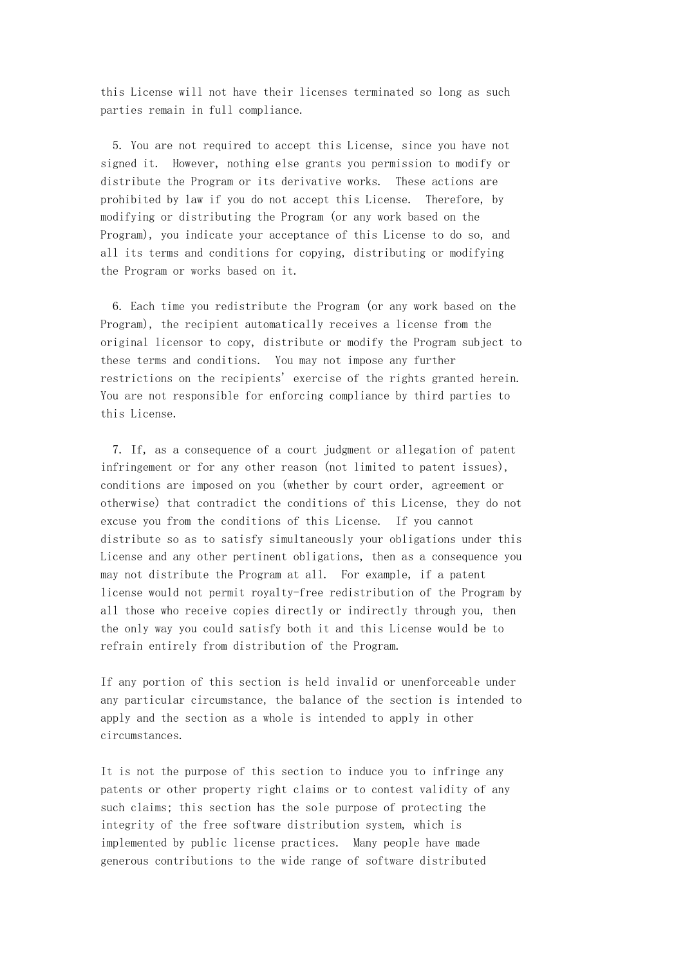this License will not have their licenses terminated so long as such parties remain in full compliance.

 5. You are not required to accept this License, since you have not signed it. However, nothing else grants you permission to modify or distribute the Program or its derivative works. These actions are prohibited by law if you do not accept this License. Therefore, by modifying or distributing the Program (or any work based on the Program), you indicate your acceptance of this License to do so, and all its terms and conditions for copying, distributing or modifying the Program or works based on it.

 6. Each time you redistribute the Program (or any work based on the Program), the recipient automatically receives a license from the original licensor to copy, distribute or modify the Program subject to these terms and conditions. You may not impose any further restrictions on the recipients' exercise of the rights granted herein. You are not responsible for enforcing compliance by third parties to this License.

 7. If, as a consequence of a court judgment or allegation of patent infringement or for any other reason (not limited to patent issues), conditions are imposed on you (whether by court order, agreement or otherwise) that contradict the conditions of this License, they do not excuse you from the conditions of this License. If you cannot distribute so as to satisfy simultaneously your obligations under this License and any other pertinent obligations, then as a consequence you may not distribute the Program at all. For example, if a patent license would not permit royalty-free redistribution of the Program by all those who receive copies directly or indirectly through you, then the only way you could satisfy both it and this License would be to refrain entirely from distribution of the Program.

If any portion of this section is held invalid or unenforceable under any particular circumstance, the balance of the section is intended to apply and the section as a whole is intended to apply in other circumstances.

It is not the purpose of this section to induce you to infringe any patents or other property right claims or to contest validity of any such claims; this section has the sole purpose of protecting the integrity of the free software distribution system, which is implemented by public license practices. Many people have made generous contributions to the wide range of software distributed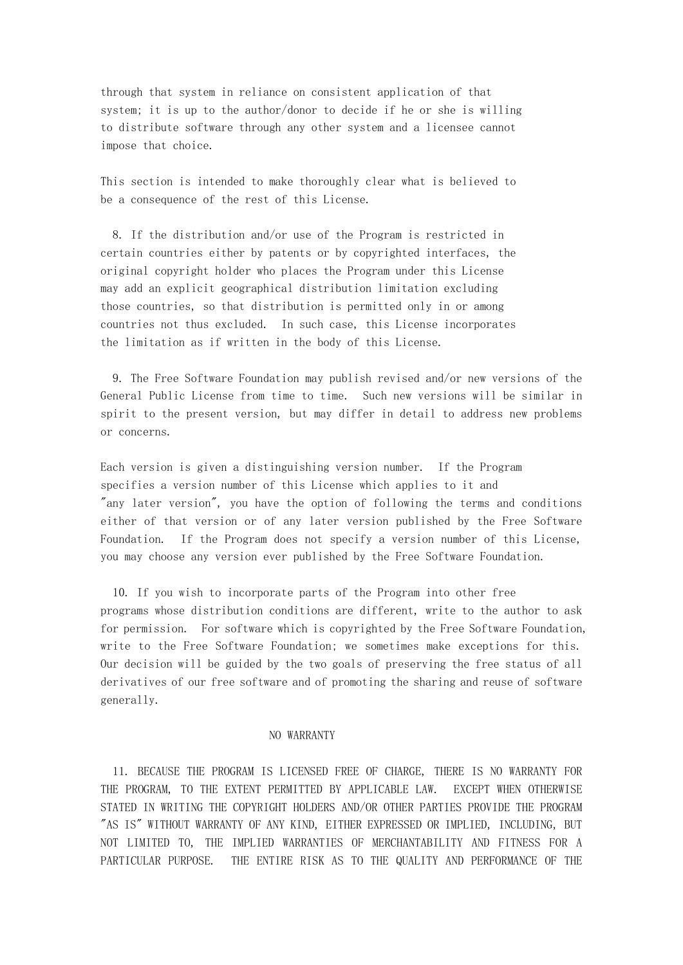through that system in reliance on consistent application of that system; it is up to the author/donor to decide if he or she is willing to distribute software through any other system and a licensee cannot impose that choice.

This section is intended to make thoroughly clear what is believed to be a consequence of the rest of this License.

 8. If the distribution and/or use of the Program is restricted in certain countries either by patents or by copyrighted interfaces, the original copyright holder who places the Program under this License may add an explicit geographical distribution limitation excluding those countries, so that distribution is permitted only in or among countries not thus excluded. In such case, this License incorporates the limitation as if written in the body of this License.

 9. The Free Software Foundation may publish revised and/or new versions of the General Public License from time to time. Such new versions will be similar in spirit to the present version, but may differ in detail to address new problems or concerns.

Each version is given a distinguishing version number. If the Program specifies a version number of this License which applies to it and "any later version", you have the option of following the terms and conditions either of that version or of any later version published by the Free Software Foundation. If the Program does not specify a version number of this License, you may choose any version ever published by the Free Software Foundation.

 10. If you wish to incorporate parts of the Program into other free programs whose distribution conditions are different, write to the author to ask for permission. For software which is copyrighted by the Free Software Foundation, write to the Free Software Foundation; we sometimes make exceptions for this. Our decision will be guided by the two goals of preserving the free status of all derivatives of our free software and of promoting the sharing and reuse of software generally.

### NO WARRANTY

 11. BECAUSE THE PROGRAM IS LICENSED FREE OF CHARGE, THERE IS NO WARRANTY FOR THE PROGRAM, TO THE EXTENT PERMITTED BY APPLICABLE LAW. EXCEPT WHEN OTHERWISE STATED IN WRITING THE COPYRIGHT HOLDERS AND/OR OTHER PARTIES PROVIDE THE PROGRAM "AS IS" WITHOUT WARRANTY OF ANY KIND, EITHER EXPRESSED OR IMPLIED, INCLUDING, BUT NOT LIMITED TO, THE IMPLIED WARRANTIES OF MERCHANTABILITY AND FITNESS FOR A PARTICULAR PURPOSE. THE ENTIRE RISK AS TO THE QUALITY AND PERFORMANCE OF THE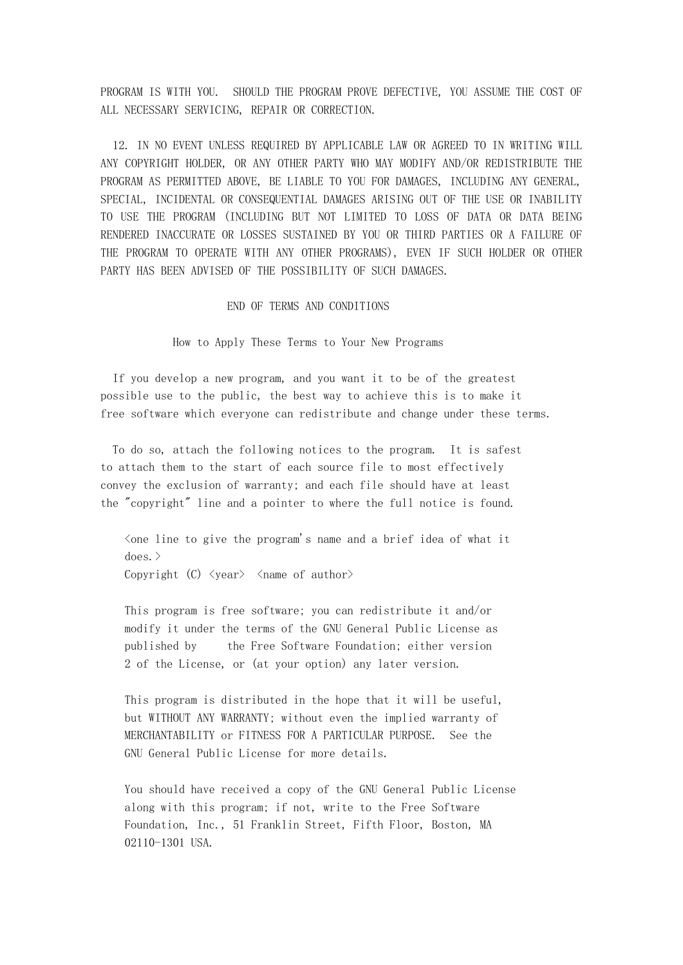PROGRAM IS WITH YOU. SHOULD THE PROGRAM PROVE DEFECTIVE, YOU ASSUME THE COST OF ALL NECESSARY SERVICING, REPAIR OR CORRECTION.

 12. IN NO EVENT UNLESS REQUIRED BY APPLICABLE LAW OR AGREED TO IN WRITING WILL ANY COPYRIGHT HOLDER, OR ANY OTHER PARTY WHO MAY MODIFY AND/OR REDISTRIBUTE THE PROGRAM AS PERMITTED ABOVE, BE LIABLE TO YOU FOR DAMAGES, INCLUDING ANY GENERAL, SPECIAL, INCIDENTAL OR CONSEQUENTIAL DAMAGES ARISING OUT OF THE USE OR INABILITY TO USE THE PROGRAM (INCLUDING BUT NOT LIMITED TO LOSS OF DATA OR DATA BEING RENDERED INACCURATE OR LOSSES SUSTAINED BY YOU OR THIRD PARTIES OR A FAILURE OF THE PROGRAM TO OPERATE WITH ANY OTHER PROGRAMS), EVEN IF SUCH HOLDER OR OTHER PARTY HAS BEEN ADVISED OF THE POSSIBILITY OF SUCH DAMAGES.

### END OF TERMS AND CONDITIONS

How to Apply These Terms to Your New Programs

 If you develop a new program, and you want it to be of the greatest possible use to the public, the best way to achieve this is to make it free software which everyone can redistribute and change under these terms.

 To do so, attach the following notices to the program. It is safest to attach them to the start of each source file to most effectively convey the exclusion of warranty; and each file should have at least the "copyright" line and a pointer to where the full notice is found.

 $\zeta$  one line to give the program's name and a brief idea of what it  $does.$ 

Copyright (C)  $\langle year \rangle$   $\langle name of author \rangle$ 

 This program is free software; you can redistribute it and/or modify it under the terms of the GNU General Public License as published by the Free Software Foundation; either version 2 of the License, or (at your option) any later version.

 This program is distributed in the hope that it will be useful, but WITHOUT ANY WARRANTY; without even the implied warranty of MERCHANTABILITY or FITNESS FOR A PARTICULAR PURPOSE. See the GNU General Public License for more details.

 You should have received a copy of the GNU General Public License along with this program; if not, write to the Free Software Foundation, Inc., 51 Franklin Street, Fifth Floor, Boston, MA 02110-1301 USA.